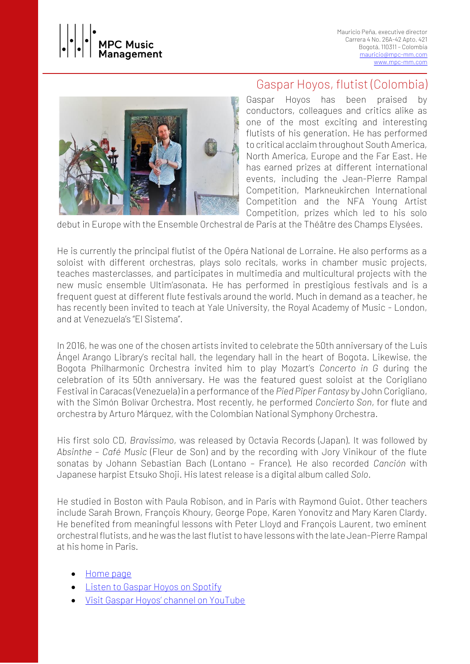



## Gaspar Hoyos, flutist (Colombia)

Gaspar Hoyos has been praised by conductors, colleagues and critics alike as one of the most exciting and interesting flutists of his generation. He has performed to critical acclaim throughout South America, North America, Europe and the Far East. He has earned prizes at different international events, including the Jean-Pierre Rampal Competition, Markneukirchen International Competition and the NFA Young Artist Competition, prizes which led to his solo

debut in Europe with the Ensemble Orchestral de Paris at the Théâtre des Champs Elysées.

He is currently the principal flutist of the Opéra National de Lorraine. He also performs as a soloist with different orchestras, plays solo recitals, works in chamber music projects, teaches masterclasses, and participates in multimedia and multicultural projects with the new music ensemble Ultim'asonata. He has performed in prestigious festivals and is a frequent guest at different flute festivals around the world. Much in demand as a teacher, he has recently been invited to teach at Yale University, the Royal Academy of Music - London, and at Venezuela's "El Sistema".

In 2016, he was one of the chosen artists invited to celebrate the 50th anniversary of the Luis Ángel Arango Library's recital hall, the legendary hall in the heart of Bogota. Likewise, the Bogota Philharmonic Orchestra invited him to play Mozart's *Concerto in G* during the celebration of its 50th anniversary. He was the featured guest soloist at the Corigliano Festival in Caracas (Venezuela) in a performance of the *Pied Piper Fantasy* by John Corigliano, with the Simón Bolívar Orchestra. Most recently, he performed *Concierto Son*, for flute and orchestra by Arturo Márquez, with the Colombian National Symphony Orchestra.

His first solo CD, *Bravissimo*, was released by Octavia Records (Japan). It was followed by *Absinthe – Café Music* (Fleur de Son) and by the recording with Jory Vinikour of the flute sonatas by Johann Sebastian Bach (Lontano – France). He also recorded *Canción* with Japanese harpist Etsuko Shoji. His latest release is a digital album called *Solo*.

He studied in Boston with Paula Robison, and in Paris with Raymond Guiot. Other teachers include Sarah Brown, François Khoury, George Pope, Karen Yonovitz and Mary Karen Clardy. He benefited from meaningful lessons with Peter Lloyd and François Laurent, two eminent orchestral flutists, and he was the last flutist to have lessons with the late Jean-Pierre Rampal at his home in Paris.

- [Home page](https://gasparhoyos.wixsite.com/flute)
- [Listen to Gaspar Hoyos](https://open.spotify.com/artist/1VEdaVrNZgG7v8KkTo0bjI?si=F9jAhEE8STWoflhVbMmccg) on Spotify
- [Visit Gaspar Hoyos' channel on YouTube](https://www.youtube.com/channel/UCI6-ccMVFQHPUlrgnBH9PfA/playlists)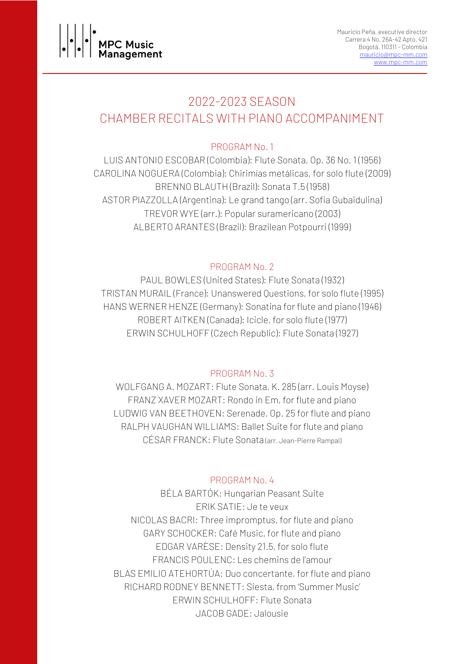

# 2022-2023 SEASON CHAMBER RECITALS WITH PIANO ACCOMPANIMENT

## PROGRAM No. 1

LUIS ANTONIO ESCOBAR (Colombia): Flute Sonata, Op. 36 No. 1 (1956) CAROLINA NOGUERA (Colombia): Chirimías metálicas, for solo flute (2009) BRENNO BLAUTH (Brazil): Sonata T.5 (1958) ASTOR PIAZZOLLA (Argentina): Le grand tango (arr. Sofia Gubaidulina) TREVOR WYE (arr.): Popular suramericano (2003) ALBERTO ARANTES (Brazil): Brazilean Potpourri (1999)

### PROGRAM No. 2

PAUL BOWLES (United States): Flute Sonata (1932) TRISTAN MURAIL (France): Unanswered Questions, for solo flute (1995) HANS WERNER HENZE (Germany): Sonatina for flute and piano (1946) ROBERT AITKEN (Canada): Icicle, for solo flute (1977) ERWIN SCHULHOFF (Czech Republic): Flute Sonata (1927)

## PROGRAM No. 3

WOLFGANG A. MOZART: Flute Sonata, K. 285 (arr. Louis Moyse) FRANZ XAVER MOZART: Rondo in Em, for flute and piano LUDWIG VAN BEETHOVEN: Serenade, Op. 25 for flute and piano RALPH VAUGHAN WILLIAMS: Ballet Suite for flute and piano CÉSAR FRANCK: Flute Sonata (arr. Jean-Pierre Rampal)

## PROGRAM No. 4

BÉLA BARTÓK: Hungarian Peasant Suite ERIK SATIE: Je te veux NICOLAS BACRI: Three impromptus, for flute and piano GARY SCHOCKER: Café Music, for flute and piano EDGAR VARÈSE: Density 21.5, for solo flute FRANCIS POULENC: Les chemins de l'amour BLAS EMILIO ATEHORTÚA: Duo concertante, for flute and piano RICHARD RODNEY BENNETT: Siesta, from 'Summer Music' ERWIN SCHULHOFF: Flute Sonata JACOB GADE: Jalousie